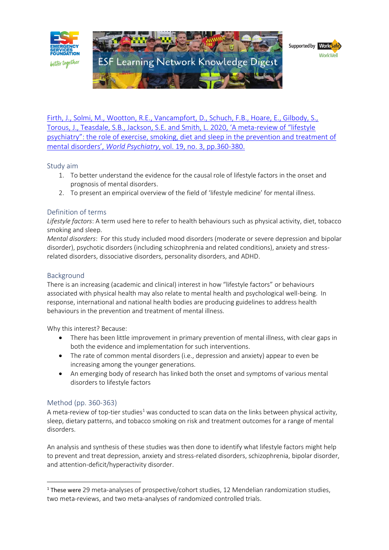

[Firth, J., Solmi, M., Wootton, R.E., Vancampfort, D., Schuch, F.B., Hoare, E., Gilbody, S.,](https://esf.com.au/resources/knowledge-hub/for-organisations/general-topics/)  Torous[, J., Teasdale, S.B., Jackson, S.E. and Smith, L. 2020, 'A meta‐review of "lifestyle](https://esf.com.au/resources/knowledge-hub/for-organisations/general-topics/)  [psychiatry": the role of exercise, smoking, diet and sleep in the prevention and treatment of](https://esf.com.au/resources/knowledge-hub/for-organisations/general-topics/)  mental disorders', *World Psychiatry*[, vol. 19, no. 3, pp.360-380.](https://esf.com.au/resources/knowledge-hub/for-organisations/general-topics/)

### Study aim

- 1. To better understand the evidence for the causal role of lifestyle factors in the onset and prognosis of mental disorders.
- 2. To present an empirical overview of the field of 'lifestyle medicine' for mental illness.

# Definition of terms

*Lifestyle factors*: A term used here to refer to health behaviours such as physical activity, diet, tobacco smoking and sleep.

*Mental disorders*: For this study included mood disorders (moderate or severe depression and bipolar disorder), psychotic disorders (including schizophrenia and related conditions), anxiety and stressrelated disorders, dissociative disorders, personality disorders, and ADHD.

## Background

There is an increasing (academic and clinical) interest in how "lifestyle factors" or behaviours associated with physical health may also relate to mental health and psychological well-being. In response, international and national health bodies are producing guidelines to address health behaviours in the prevention and treatment of mental illness.

Why this interest? Because:

- There has been little improvement in primary prevention of mental illness, with clear gaps in both the evidence and implementation for such interventions.
- The rate of common mental disorders (i.e., depression and anxiety) appear to even be increasing among the younger generations.
- An emerging body of research has linked both the onset and symptoms of various mental disorders to lifestyle factors

### Method (pp. 360-363)

A meta-review of top-tier studies<sup>1</sup> was conducted to scan data on the links between physical activity, sleep, dietary patterns, and tobacco smoking on risk and treatment outcomes for a range of mental disorders.

An analysis and synthesis of these studies was then done to identify what lifestyle factors might help to prevent and treat depression, anxiety and stress-related disorders, schizophrenia, bipolar disorder, and attention-deficit/hyperactivity disorder.

<sup>&</sup>lt;sup>1</sup> These were 29 meta-analyses of prospective/cohort studies, 12 Mendelian randomization studies, two meta-reviews, and two meta-analyses of randomized controlled trials.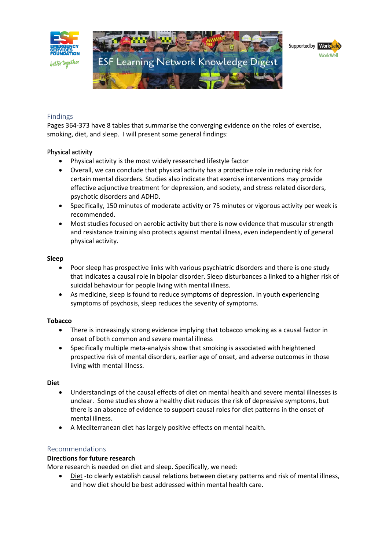

### Findings

Pages 364-373 have 8 tables that summarise the converging evidence on the roles of exercise, smoking, diet, and sleep. I will present some general findings:

### Physical activity

- Physical activity is the most widely researched lifestyle factor
- Overall, we can conclude that physical activity has a protective role in reducing risk for certain mental disorders. Studies also indicate that exercise interventions may provide effective adjunctive treatment for depression, and society, and stress related disorders, psychotic disorders and ADHD.
- Specifically, 150 minutes of moderate activity or 75 minutes or vigorous activity per week is recommended.
- Most studies focused on aerobic activity but there is now evidence that muscular strength and resistance training also protects against mental illness, even independently of general physical activity.

#### **Sleep**

- Poor sleep has prospective links with various psychiatric disorders and there is one study that indicates a causal role in bipolar disorder. Sleep disturbances a linked to a higher risk of suicidal behaviour for people living with mental illness.
- As medicine, sleep is found to reduce symptoms of depression. In youth experiencing symptoms of psychosis, sleep reduces the severity of symptoms.

#### **Tobacco**

- There is increasingly strong evidence implying that tobacco smoking as a causal factor in onset of both common and severe mental illness
- Specifically multiple meta-analysis show that smoking is associated with heightened prospective risk of mental disorders, earlier age of onset, and adverse outcomes in those living with mental illness.

#### **Diet**

- Understandings of the causal effects of diet on mental health and severe mental illnesses is unclear. Some studies show a healthy diet reduces the risk of depressive symptoms, but there is an absence of evidence to support causal roles for diet patterns in the onset of mental illness.
- A Mediterranean diet has largely positive effects on mental health.

### Recommendations

#### **Directions for future research**

More research is needed on diet and sleep. Specifically, we need:

• Diet -to clearly establish causal relations between dietary patterns and risk of mental illness, and how diet should be best addressed within mental health care.